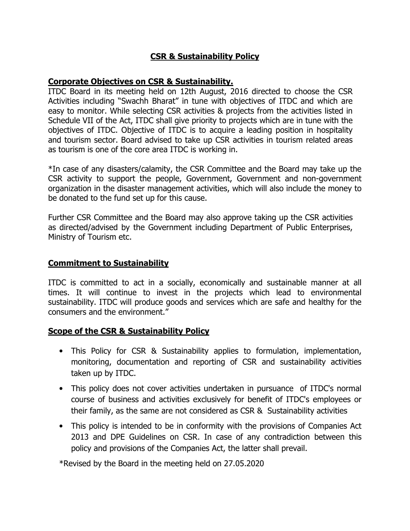## CSR & Sustainability Policy

#### Corporate Objectives on CSR & Sustainability.

ITDC Board in its meeting held on 12th August, 2016 directed to choose the CSR Activities including "Swachh Bharat" in tune with objectives of ITDC and which are easy to monitor. While selecting CSR activities & projects from the activities listed in Schedule VII of the Act, ITDC shall give priority to projects which are in tune with the objectives of ITDC. Objective of ITDC is to acquire a leading position in hospitality and tourism sector. Board advised to take up CSR activities in tourism related areas as tourism is one of the core area ITDC is working in.

\*In case of any disasters/calamity, the CSR Committee and the Board may take up the CSR activity to support the people, Government, Government and non-government organization in the disaster management activities, which will also include the money to be donated to the fund set up for this cause.

Further CSR Committee and the Board may also approve taking up the CSR activities as directed/advised by the Government including Department of Public Enterprises, Ministry of Tourism etc.

#### Commitment to Sustainability

ITDC is committed to act in a socially, economically and sustainable manner at all times. It will continue to invest in the projects which lead to environmental sustainability. ITDC will produce goods and services which are safe and healthy for the consumers and the environment."

#### Scope of the CSR & Sustainability Policy

- This Policy for CSR & Sustainability applies to formulation, implementation, monitoring, documentation and reporting of CSR and sustainability activities taken up by ITDC.
- This policy does not cover activities undertaken in pursuance of ITDC's normal course of business and activities exclusively for benefit of ITDC's employees or their family, as the same are not considered as CSR & Sustainability activities
- This policy is intended to be in conformity with the provisions of Companies Act 2013 and DPE Guidelines on CSR. In case of any contradiction between this policy and provisions of the Companies Act, the latter shall prevail.

\*Revised by the Board in the meeting held on 27.05.2020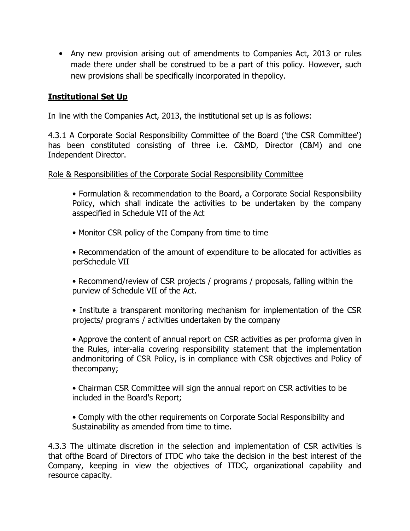• Any new provision arising out of amendments to Companies Act, 2013 or rules made there under shall be construed to be a part of this policy. However, such new provisions shall be specifically incorporated in thepolicy.

### Institutional Set Up

In line with the Companies Act, 2013, the institutional set up is as follows:

4.3.1 A Corporate Social Responsibility Committee of the Board ('the CSR Committee') has been constituted consisting of three i.e. C&MD, Director (C&M) and one Independent Director.

Role & Responsibilities of the Corporate Social Responsibility Committee

• Formulation & recommendation to the Board, a Corporate Social Responsibility Policy, which shall indicate the activities to be undertaken by the company asspecified in Schedule VII of the Act

• Monitor CSR policy of the Company from time to time

• Recommendation of the amount of expenditure to be allocated for activities as perSchedule VII

• Recommend/review of CSR projects / programs / proposals, falling within the purview of Schedule VII of the Act.

• Institute a transparent monitoring mechanism for implementation of the CSR projects/ programs / activities undertaken by the company

• Approve the content of annual report on CSR activities as per proforma given in the Rules, inter-alia covering responsibility statement that the implementation andmonitoring of CSR Policy, is in compliance with CSR objectives and Policy of thecompany;

• Chairman CSR Committee will sign the annual report on CSR activities to be included in the Board's Report;

• Comply with the other requirements on Corporate Social Responsibility and Sustainability as amended from time to time.

4.3.3 The ultimate discretion in the selection and implementation of CSR activities is that ofthe Board of Directors of ITDC who take the decision in the best interest of the Company, keeping in view the objectives of ITDC, organizational capability and resource capacity.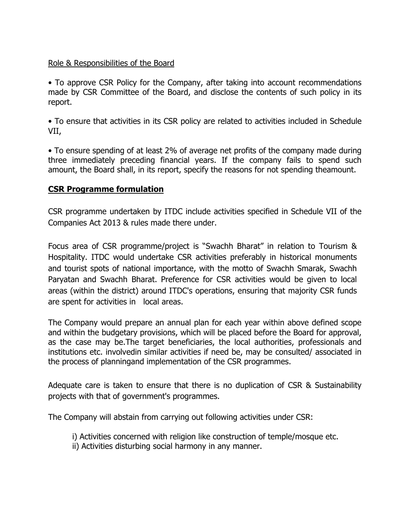#### Role & Responsibilities of the Board

• To approve CSR Policy for the Company, after taking into account recommendations made by CSR Committee of the Board, and disclose the contents of such policy in its report.

• To ensure that activities in its CSR policy are related to activities included in Schedule VII,

• To ensure spending of at least 2% of average net profits of the company made during three immediately preceding financial years. If the company fails to spend such amount, the Board shall, in its report, specify the reasons for not spending theamount.

#### CSR Programme formulation

CSR programme undertaken by ITDC include activities specified in Schedule VII of the Companies Act 2013 & rules made there under.

Focus area of CSR programme/project is "Swachh Bharat" in relation to Tourism & Hospitality. ITDC would undertake CSR activities preferably in historical monuments and tourist spots of national importance, with the motto of Swachh Smarak, Swachh Paryatan and Swachh Bharat. Preference for CSR activities would be given to local areas (within the district) around ITDC's operations, ensuring that majority CSR funds are spent for activities in local areas.

The Company would prepare an annual plan for each year within above defined scope and within the budgetary provisions, which will be placed before the Board for approval, as the case may be.The target beneficiaries, the local authorities, professionals and institutions etc. involvedin similar activities if need be, may be consulted/ associated in the process of planningand implementation of the CSR programmes.

Adequate care is taken to ensure that there is no duplication of CSR & Sustainability projects with that of government's programmes.

The Company will abstain from carrying out following activities under CSR:

- i) Activities concerned with religion like construction of temple/mosque etc.
- ii) Activities disturbing social harmony in any manner.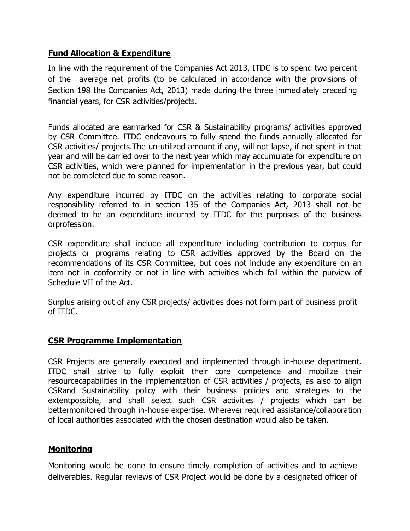#### Fund Allocation & Expenditure

In line with the requirement of the Companies Act 2013, ITDC is to spend two percent of the average net profits (to be calculated in accordance with the provisions of Section 198 the Companies Act, 2013) made during the three immediately preceding financial years, for CSR activities/projects.

Funds allocated are earmarked for CSR & Sustainability programs/ activities approved by CSR Committee. ITDC endeavours to fully spend the funds annually allocated for CSR activities/ projects.The un-utilized amount if any, will not lapse, if not spent in that year and will be carried over to the next year which may accumulate for expenditure on CSR activities, which were planned for implementation in the previous year, but could not be completed due to some reason.

Any expenditure incurred by ITDC on the activities relating to corporate social responsibility referred to in section 135 of the Companies Act, 2013 shall not be deemed to be an expenditure incurred by ITDC for the purposes of the business orprofession.

CSR expenditure shall include all expenditure including contribution to corpus for projects or programs relating to CSR activities approved by the Board on the recommendations of its CSR Committee, but does not include any expenditure on an item not in conformity or not in line with activities which fall within the purview of Schedule VII of the Act.

Surplus arising out of any CSR projects/ activities does not form part of business profit of ITDC.

#### CSR Programme Implementation

CSR Projects are generally executed and implemented through in-house department. ITDC shall strive to fully exploit their core competence and mobilize their resourcecapabilities in the implementation of CSR activities / projects, as also to align CSRand Sustainability policy with their business policies and strategies to the extentpossible, and shall select such CSR activities / projects which can be bettermonitored through in-house expertise. Wherever required assistance/collaboration of local authorities associated with the chosen destination would also be taken.

#### **Monitoring**

Monitoring would be done to ensure timely completion of activities and to achieve deliverables. Regular reviews of CSR Project would be done by a designated officer of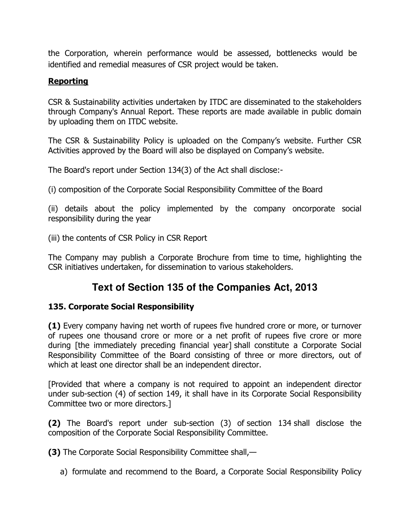the Corporation, wherein performance would be assessed, bottlenecks would be identified and remedial measures of CSR project would be taken.

### Reporting

CSR & Sustainability activities undertaken by ITDC are disseminated to the stakeholders through Company's Annual Report. These reports are made available in public domain by uploading them on ITDC website.

The CSR & Sustainability Policy is uploaded on the Company's website. Further CSR Activities approved by the Board will also be displayed on Company's website.

The Board's report under Section 134(3) of the Act shall disclose:-

(i) composition of the Corporate Social Responsibility Committee of the Board

(ii) details about the policy implemented by the company oncorporate social responsibility during the year

(iii) the contents of CSR Policy in CSR Report

The Company may publish a Corporate Brochure from time to time, highlighting the CSR initiatives undertaken, for dissemination to various stakeholders.

# **Text of Section 135 of the Companies Act, 2013**

#### 135. Corporate Social Responsibility

(1) Every company having net worth of rupees five hundred crore or more, or turnover of rupees one thousand crore or more or a net profit of rupees five crore or more during [the immediately preceding financial year] shall constitute a Corporate Social Responsibility Committee of the Board consisting of three or more directors, out of which at least one director shall be an independent director.

[Provided that where a company is not required to appoint an independent director under sub-section (4) of section 149, it shall have in its Corporate Social Responsibility Committee two or more directors.]

(2) The Board's report under sub-section (3) of section 134 shall disclose the composition of the Corporate Social Responsibility Committee.

(3) The Corporate Social Responsibility Committee shall,—

a) formulate and recommend to the Board, a Corporate Social Responsibility Policy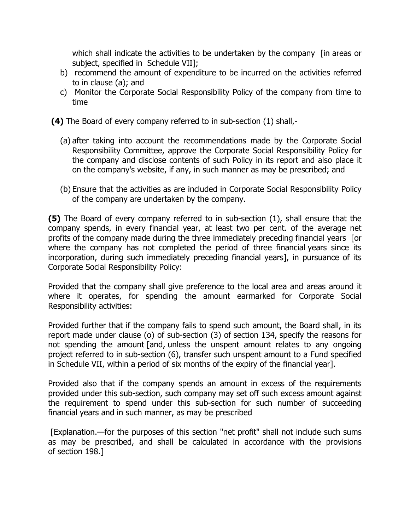which shall indicate the activities to be undertaken by the company [in areas or subject, specified in Schedule VII];

- b) recommend the amount of expenditure to be incurred on the activities referred to in clause (a); and
- c) Monitor the Corporate Social Responsibility Policy of the company from time to time
- (4) The Board of every company referred to in sub-section (1) shall,-
	- (a) after taking into account the recommendations made by the Corporate Social Responsibility Committee, approve the Corporate Social Responsibility Policy for the company and disclose contents of such Policy in its report and also place it on the company's website, if any, in such manner as may be prescribed; and
	- (b) Ensure that the activities as are included in Corporate Social Responsibility Policy of the company are undertaken by the company.

(5) The Board of every company referred to in sub-section (1), shall ensure that the company spends, in every financial year, at least two per cent. of the average net profits of the company made during the three immediately preceding financial years [or where the company has not completed the period of three financial years since its incorporation, during such immediately preceding financial years], in pursuance of its Corporate Social Responsibility Policy:

Provided that the company shall give preference to the local area and areas around it where it operates, for spending the amount earmarked for Corporate Social Responsibility activities:

Provided further that if the company fails to spend such amount, the Board shall, in its report made under clause (o) of sub-section (3) of section 134, specify the reasons for not spending the amount [and, unless the unspent amount relates to any ongoing project referred to in sub-section (6), transfer such unspent amount to a Fund specified in Schedule VII, within a period of six months of the expiry of the financial year].

Provided also that if the company spends an amount in excess of the requirements provided under this sub-section, such company may set off such excess amount against the requirement to spend under this sub-section for such number of succeeding financial years and in such manner, as may be prescribed

 [Explanation.—for the purposes of this section "net profit" shall not include such sums as may be prescribed, and shall be calculated in accordance with the provisions of section 198.]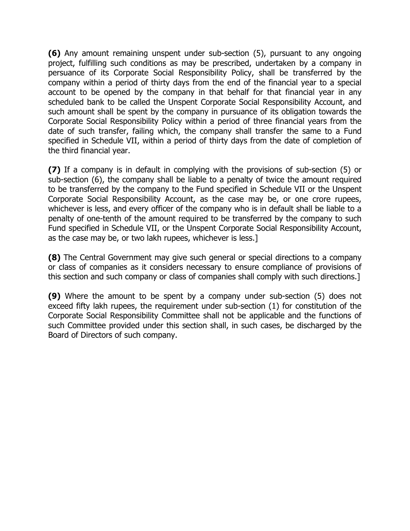(6) Any amount remaining unspent under sub-section (5), pursuant to any ongoing project, fulfilling such conditions as may be prescribed, undertaken by a company in persuance of its Corporate Social Responsibility Policy, shall be transferred by the company within a period of thirty days from the end of the financial year to a special account to be opened by the company in that behalf for that financial year in any scheduled bank to be called the Unspent Corporate Social Responsibility Account, and such amount shall be spent by the company in pursuance of its obligation towards the Corporate Social Responsibility Policy within a period of three financial years from the date of such transfer, failing which, the company shall transfer the same to a Fund specified in Schedule VII, within a period of thirty days from the date of completion of the third financial year.

(7) If a company is in default in complying with the provisions of sub-section (5) or sub-section (6), the company shall be liable to a penalty of twice the amount required to be transferred by the company to the Fund specified in Schedule VII or the Unspent Corporate Social Responsibility Account, as the case may be, or one crore rupees, whichever is less, and every officer of the company who is in default shall be liable to a penalty of one-tenth of the amount required to be transferred by the company to such Fund specified in Schedule VII, or the Unspent Corporate Social Responsibility Account, as the case may be, or two lakh rupees, whichever is less.]

(8) The Central Government may give such general or special directions to a company or class of companies as it considers necessary to ensure compliance of provisions of this section and such company or class of companies shall comply with such directions.]

(9) Where the amount to be spent by a company under sub-section (5) does not exceed fifty lakh rupees, the requirement under sub-section (1) for constitution of the Corporate Social Responsibility Committee shall not be applicable and the functions of such Committee provided under this section shall, in such cases, be discharged by the Board of Directors of such company.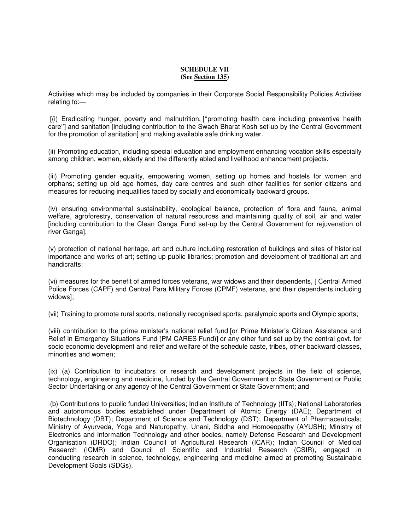#### **SCHEDULE VII (See Section 135)**

Activities which may be included by companies in their Corporate Social Responsibility Policies Activities relating to:—

 [(i) Eradicating hunger, poverty and malnutrition, [''promoting health care including preventive health care''] and sanitation [including contribution to the Swach Bharat Kosh set-up by the Central Government for the promotion of sanitation] and making available safe drinking water.

(ii) Promoting education, including special education and employment enhancing vocation skills especially among children, women, elderly and the differently abled and livelihood enhancement projects.

(iii) Promoting gender equality, empowering women, setting up homes and hostels for women and orphans; setting up old age homes, day care centres and such other facilities for senior citizens and measures for reducing inequalities faced by socially and economically backward groups.

(iv) ensuring environmental sustainability, ecological balance, protection of flora and fauna, animal welfare, agroforestry, conservation of natural resources and maintaining quality of soil, air and water [including contribution to the Clean Ganga Fund set-up by the Central Government for rejuvenation of river Ganga].

(v) protection of national heritage, art and culture including restoration of buildings and sites of historical importance and works of art; setting up public libraries; promotion and development of traditional art and handicrafts;

(vi) measures for the benefit of armed forces veterans, war widows and their dependents, [ Central Armed Police Forces (CAPF) and Central Para Military Forces (CPMF) veterans, and their dependents including widows];

(vii) Training to promote rural sports, nationally recognised sports, paralympic sports and Olympic sports;

(viii) contribution to the prime minister's national relief fund [or Prime Minister's Citizen Assistance and Relief in Emergency Situations Fund (PM CARES Fund)] or any other fund set up by the central govt. for socio economic development and relief and welfare of the schedule caste, tribes, other backward classes, minorities and women;

(ix) (a) Contribution to incubators or research and development projects in the field of science, technology, engineering and medicine, funded by the Central Government or State Government or Public Sector Undertaking or any agency of the Central Government or State Government; and

 (b) Contributions to public funded Universities; Indian Institute of Technology (IITs); National Laboratories and autonomous bodies established under Department of Atomic Energy (DAE); Department of Biotechnology (DBT); Department of Science and Technology (DST); Department of Pharmaceuticals; Ministry of Ayurveda, Yoga and Naturopathy, Unani, Siddha and Homoeopathy (AYUSH); Ministry of Electronics and Information Technology and other bodies, namely Defense Research and Development Organisation (DRDO); Indian Council of Agricultural Research (ICAR); Indian Council of Medical Research (ICMR) and Council of Scientific and Industrial Research (CSIR), engaged in conducting research in science, technology, engineering and medicine aimed at promoting Sustainable Development Goals (SDGs).